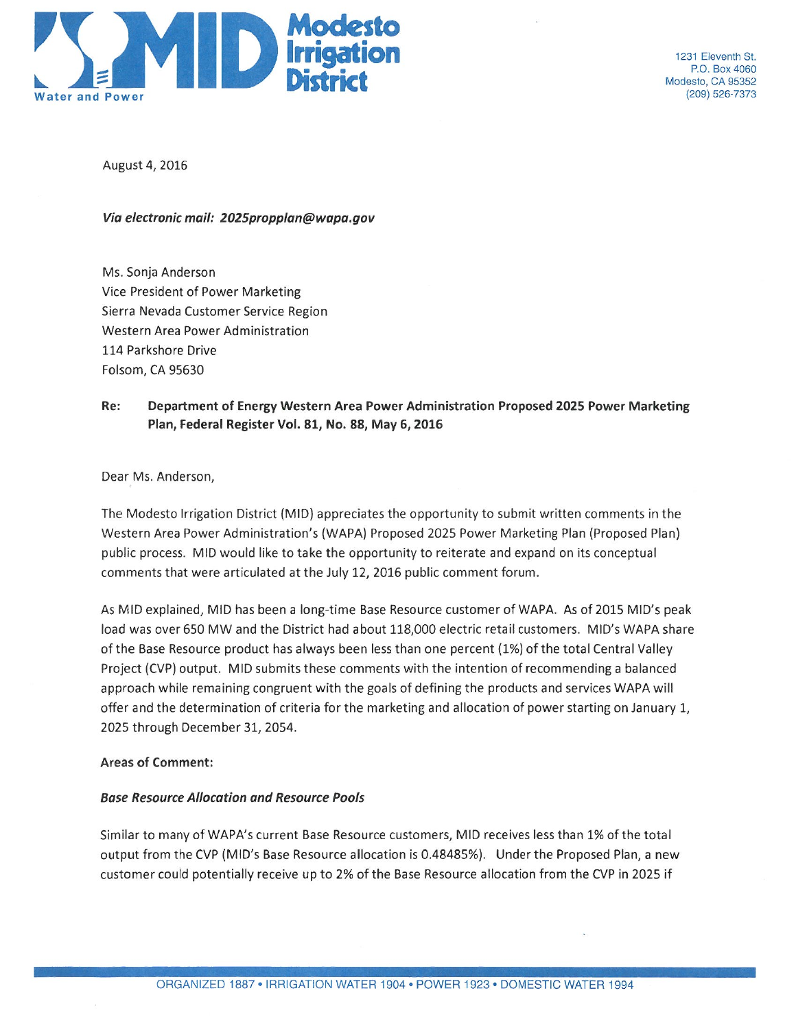

1231 Fleventh St P.O. Box 4060 Modesto, CA 95352 (209) 526-7373

August 4, 2016

Via electronic mail: 2025propplan@wapa.gov

Ms. Sonja Anderson Vice President of Power Marketing Sierra Nevada Customer Service Region Western Area Power Administration 114 Parkshore Drive Folsom, CA 95630

Re: Department of Energy Western Area Power Administration Proposed 2025 Power Marketing Plan, Federal Register Vol. 81, No. 88, May 6, 2016

Dear Ms. Anderson,

The Modesto Irrigation District (MID) appreciates the opportunity to submit written comments in the Western Area Power Administration's (WAPA) Proposed 2025 Power Marketing Plan (Proposed Plan) public process. MID would like to take the opportunity to reiterate and expand on its conceptual comments that were articulated at the July 12, 2016 public comment forum.

As MID explained, MID has been a long-time Base Resource customer of WAPA. As of 2015 MID's peak load was over 650 MW and the District had about 118,000 electric retail customers. MID's WAPA share of the Base Resource product has always been less than one percent (1%) of the total Central Valley Project (CVP) output. MID submits these comments with the intention of recommending a balanced approach while remaining congruent with the goals of defining the products and services WAPA will offer and the determination of criteria for the marketing and allocation of power starting on January 1, 2025 through December 31, 2054.

# **Areas of Comment:**

# **Base Resource Allocation and Resource Pools**

Similar to many of WAPA's current Base Resource customers, MID receives less than 1% of the total output from the CVP (MID's Base Resource allocation is 0.48485%). Under the Proposed Plan, a new customer could potentially receive up to 2% of the Base Resource allocation from the CVP in 2025 if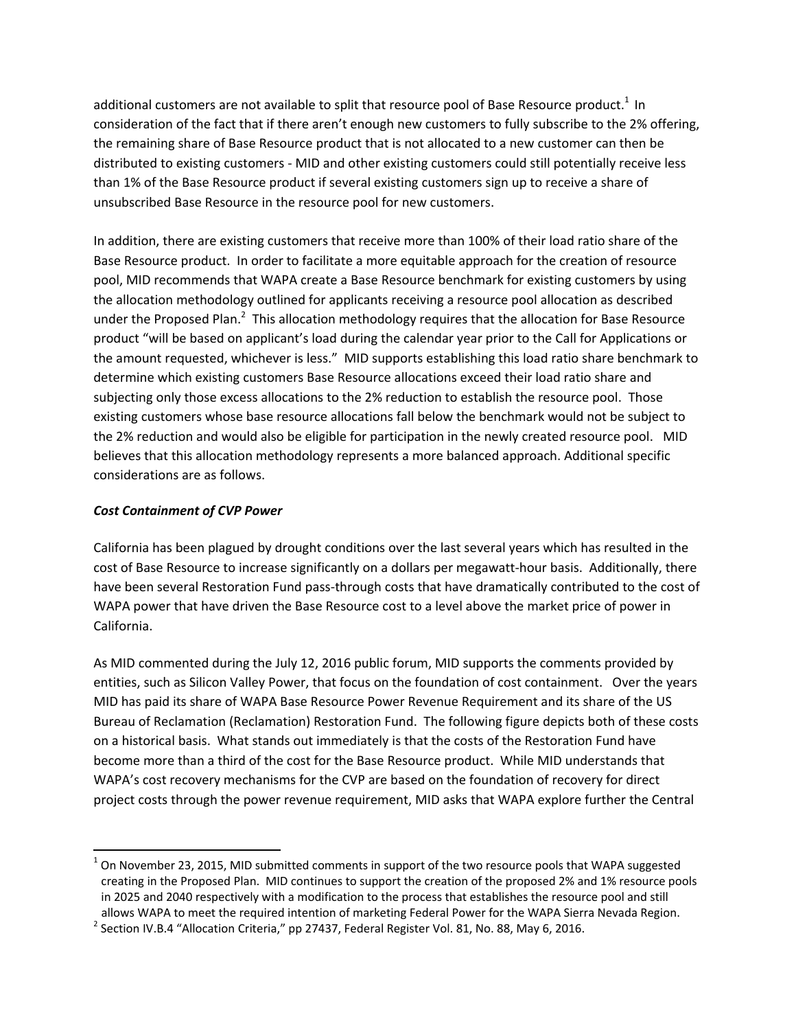additional customers are not available to split that resource pool of Base Resource product.<sup>1</sup> In consideration of the fact that if there aren't enough new customers to fully subscribe to the 2% offering, the remaining share of Base Resource product that is not allocated to a new customer can then be distributed to existing customers ‐ MID and other existing customers could still potentially receive less than 1% of the Base Resource product if several existing customers sign up to receive a share of unsubscribed Base Resource in the resource pool for new customers.

In addition, there are existing customers that receive more than 100% of their load ratio share of the Base Resource product. In order to facilitate a more equitable approach for the creation of resource pool, MID recommends that WAPA create a Base Resource benchmark for existing customers by using the allocation methodology outlined for applicants receiving a resource pool allocation as described under the Proposed Plan.<sup>2</sup> This allocation methodology requires that the allocation for Base Resource product "will be based on applicant's load during the calendar year prior to the Call for Applications or the amount requested, whichever is less." MID supports establishing this load ratio share benchmark to determine which existing customers Base Resource allocations exceed their load ratio share and subjecting only those excess allocations to the 2% reduction to establish the resource pool. Those existing customers whose base resource allocations fall below the benchmark would not be subject to the 2% reduction and would also be eligible for participation in the newly created resource pool. MID believes that this allocation methodology represents a more balanced approach. Additional specific considerations are as follows.

# *Cost Containment of CVP Power*

California has been plagued by drought conditions over the last several years which has resulted in the cost of Base Resource to increase significantly on a dollars per megawatt‐hour basis. Additionally, there have been several Restoration Fund pass-through costs that have dramatically contributed to the cost of WAPA power that have driven the Base Resource cost to a level above the market price of power in California.

As MID commented during the July 12, 2016 public forum, MID supports the comments provided by entities, such as Silicon Valley Power, that focus on the foundation of cost containment. Over the years MID has paid its share of WAPA Base Resource Power Revenue Requirement and its share of the US Bureau of Reclamation (Reclamation) Restoration Fund. The following figure depicts both of these costs on a historical basis. What stands out immediately is that the costs of the Restoration Fund have become more than a third of the cost for the Base Resource product. While MID understands that WAPA's cost recovery mechanisms for the CVP are based on the foundation of recovery for direct project costs through the power revenue requirement, MID asks that WAPA explore further the Central

 $1$  On November 23, 2015, MID submitted comments in support of the two resource pools that WAPA suggested creating in the Proposed Plan. MID continues to support the creation of the proposed 2% and 1% resource pools in 2025 and 2040 respectively with a modification to the process that establishes the resource pool and still allows WAPA to meet the required intention of marketing Federal Power for the WAPA Sierra Nevada Region.<br><sup>2</sup> Section IV.B.4 "Allocation Criteria," pp 27437, Federal Register Vol. 81, No. 88, May 6, 2016.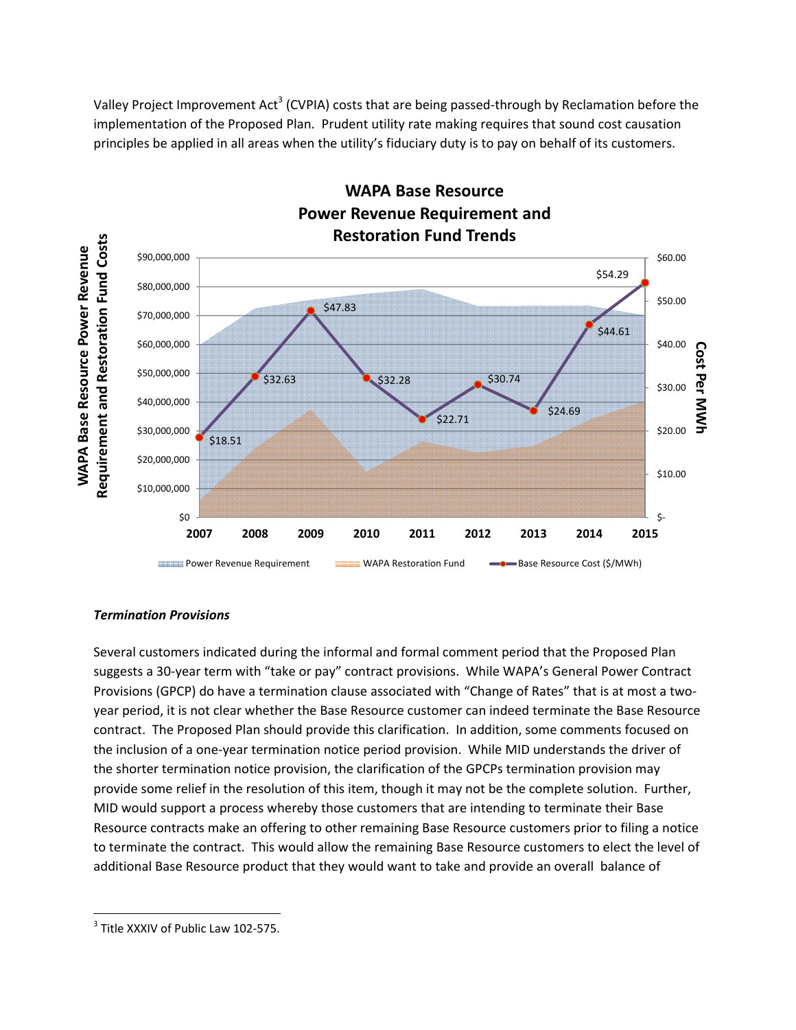Valley Project Improvement Act<sup>3</sup> (CVPIA) costs that are being passed-through by Reclamation before the implementation of the Proposed Plan. Prudent utility rate making requires that sound cost causation principles be applied in all areas when the utility's fiduciary duty is to pay on behalf of its customers.



**WAPA Base Resource**

# *Termination Provisions*

Several customers indicated during the informal and formal comment period that the Proposed Plan suggests a 30‐year term with "take or pay" contract provisions. While WAPA's General Power Contract Provisions (GPCP) do have a termination clause associated with "Change of Rates" that is at most a twoyear period, it is not clear whether the Base Resource customer can indeed terminate the Base Resource contract. The Proposed Plan should provide this clarification. In addition, some comments focused on the inclusion of a one‐year termination notice period provision. While MID understands the driver of the shorter termination notice provision, the clarification of the GPCPs termination provision may provide some relief in the resolution of this item, though it may not be the complete solution. Further, MID would support a process whereby those customers that are intending to terminate their Base Resource contracts make an offering to other remaining Base Resource customers prior to filing a notice to terminate the contract. This would allow the remaining Base Resource customers to elect the level of additional Base Resource product that they would want to take and provide an overall balance of

 <sup>3</sup> Title XXXIV of Public Law 102-575.